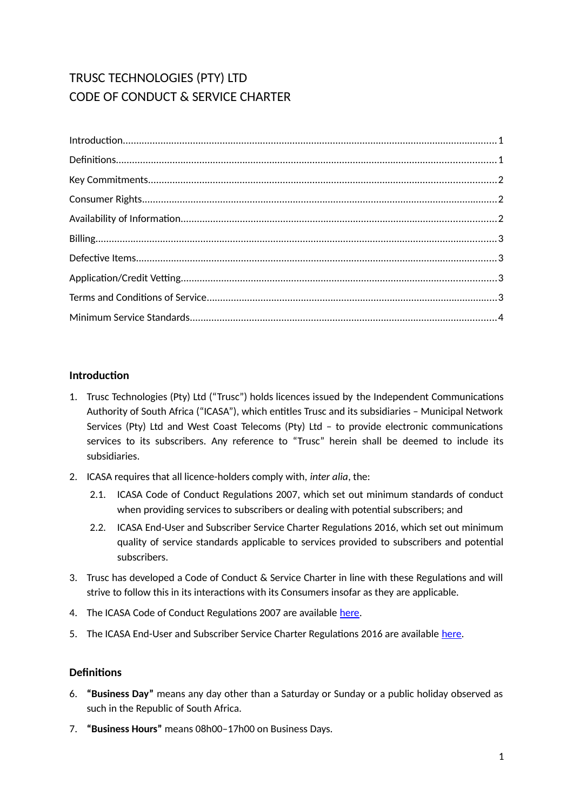# TRUSC TECHNOLOGIES (PTY) LTD CODE OF CONDUCT & SERVICE CHARTER

# <span id="page-0-0"></span>**Introduction**

- 1. Trusc Technologies (Pty) Ltd ("Trusc") holds licences issued by the Independent Communications Authority of South Africa ("ICASA"), which entitles Trusc and its subsidiaries – Municipal Network Services (Pty) Ltd and West Coast Telecoms (Pty) Ltd – to provide electronic communications services to its subscribers. Any reference to "Trusc" herein shall be deemed to include its subsidiaries.
- 2. ICASA requires that all licence-holders comply with, *inter alia*, the:
	- 2.1. ICASA Code of Conduct Regulations 2007, which set out minimum standards of conduct when providing services to subscribers or dealing with potential subscribers; and
	- 2.2. ICASA End-User and Subscriber Service Charter Regulations 2016, which set out minimum quality of service standards applicable to services provided to subscribers and potential subscribers.
- 3. Trusc has developed a Code of Conduct & Service Charter in line with these Regulations and will strive to follow this in its interactions with its Consumers insofar as they are applicable.
- 4. The ICASA Code of Conduct Regulations 2007 are available [here.](http://www.ellipsis.co.za/wp-content/uploads/2017/04/Code_of_Conduct_Regulations_2007.pdf)
- 5. The ICASA End-User and Subscriber Service Charter Regulations 2016 are available [here.](http://www.ellipsis.co.za/wp-content/uploads/2015/10/EUSSC-Regulations-2016.pdf)

# <span id="page-0-1"></span>**Definitions**

- 6. **"Business Day"** means any day other than a Saturday or Sunday or a public holiday observed as such in the Republic of South Africa.
- 7. **"Business Hours"** means 08h00–17h00 on Business Days.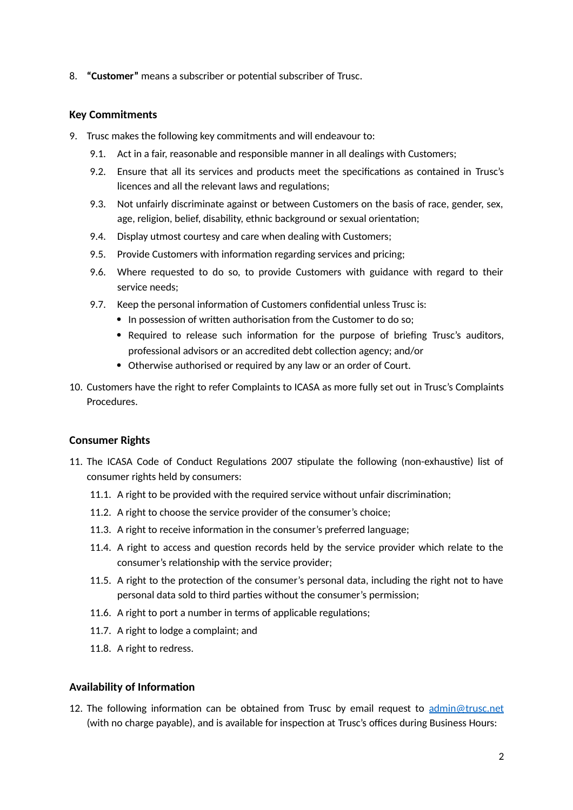8. **"Customer"** means a subscriber or potential subscriber of Trusc.

#### <span id="page-1-2"></span>**Key Commitments**

- 9. Trusc makes the following key commitments and will endeavour to:
	- 9.1. Act in a fair, reasonable and responsible manner in all dealings with Customers;
	- 9.2. Ensure that all its services and products meet the specifications as contained in Trusc's licences and all the relevant laws and regulations;
	- 9.3. Not unfairly discriminate against or between Customers on the basis of race, gender, sex, age, religion, belief, disability, ethnic background or sexual orientation;
	- 9.4. Display utmost courtesy and care when dealing with Customers;
	- 9.5. Provide Customers with information regarding services and pricing;
	- 9.6. Where requested to do so, to provide Customers with guidance with regard to their service needs;
	- 9.7. Keep the personal information of Customers confidential unless Trusc is:
		- In possession of written authorisation from the Customer to do so;
		- Required to release such information for the purpose of briefing Trusc's auditors, professional advisors or an accredited debt collection agency; and/or
		- Otherwise authorised or required by any law or an order of Court.
- 10. Customers have the right to refer Complaints to ICASA as more fully set out in Trusc's Complaints Procedures.

#### <span id="page-1-1"></span>**Consumer Rights**

- 11. The ICASA Code of Conduct Regulations 2007 stipulate the following (non-exhaustive) list of consumer rights held by consumers:
	- 11.1. A right to be provided with the required service without unfair discrimination;
	- 11.2. A right to choose the service provider of the consumer's choice;
	- 11.3. A right to receive information in the consumer's preferred language;
	- 11.4. A right to access and question records held by the service provider which relate to the consumer's relationship with the service provider;
	- 11.5. A right to the protection of the consumer's personal data, including the right not to have personal data sold to third parties without the consumer's permission;
	- 11.6. A right to port a number in terms of applicable regulations;
	- 11.7. A right to lodge a complaint; and
	- 11.8. A right to redress.

#### <span id="page-1-0"></span>**Availability of Information**

12. The following information can be obtained from Trusc by email request to  $\frac{\text{admin@trusc.net}}{\text{admin@trusc.net}}$ (with no charge payable), and is available for inspection at Trusc's offices during Business Hours: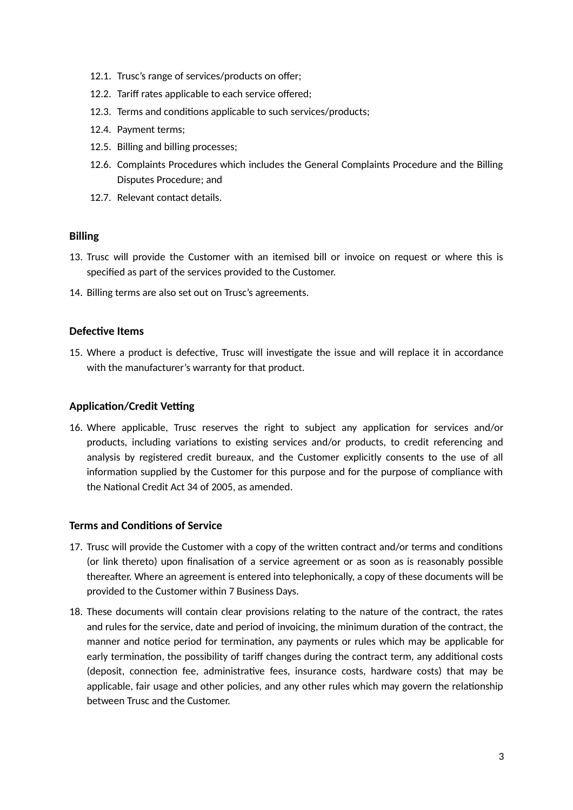- 12.1. Trusc's range of services/products on offer;
- 12.2. Tariff rates applicable to each service offered;
- 12.3. Terms and conditions applicable to such services/products;
- 12.4. Payment terms;
- 12.5. Billing and billing processes;
- 12.6. Complaints Procedures which includes the General Complaints Procedure and the Billing Disputes Procedure; and
- 12.7. Relevant contact details.

## <span id="page-2-3"></span>**Billing**

- 13. Trusc will provide the Customer with an itemised bill or invoice on request or where this is specified as part of the services provided to the Customer.
- 14. Billing terms are also set out on Trusc's agreements.

## <span id="page-2-2"></span>**Defective Items**

15. Where a product is defective, Trusc will investigate the issue and will replace it in accordance with the manufacturer's warranty for that product.

## <span id="page-2-1"></span>**Application/Credit Vetting**

16. Where applicable, Trusc reserves the right to subject any application for services and/or products, including variations to existing services and/or products, to credit referencing and analysis by registered credit bureaux, and the Customer explicitly consents to the use of all information supplied by the Customer for this purpose and for the purpose of compliance with the National Credit Act 34 of 2005, as amended.

## <span id="page-2-0"></span>**Terms and Conditions of Service**

- 17. Trusc will provide the Customer with a copy of the written contract and/or terms and conditions (or link thereto) upon finalisation of a service agreement or as soon as is reasonably possible thereafter. Where an agreement is entered into telephonically, a copy of these documents will be provided to the Customer within 7 Business Days.
- 18. These documents will contain clear provisions relating to the nature of the contract, the rates and rules for the service, date and period of invoicing, the minimum duration of the contract, the manner and notice period for termination, any payments or rules which may be applicable for early termination, the possibility of tariff changes during the contract term, any additional costs (deposit, connection fee, administrative fees, insurance costs, hardware costs) that may be applicable, fair usage and other policies, and any other rules which may govern the relationship between Trusc and the Customer.